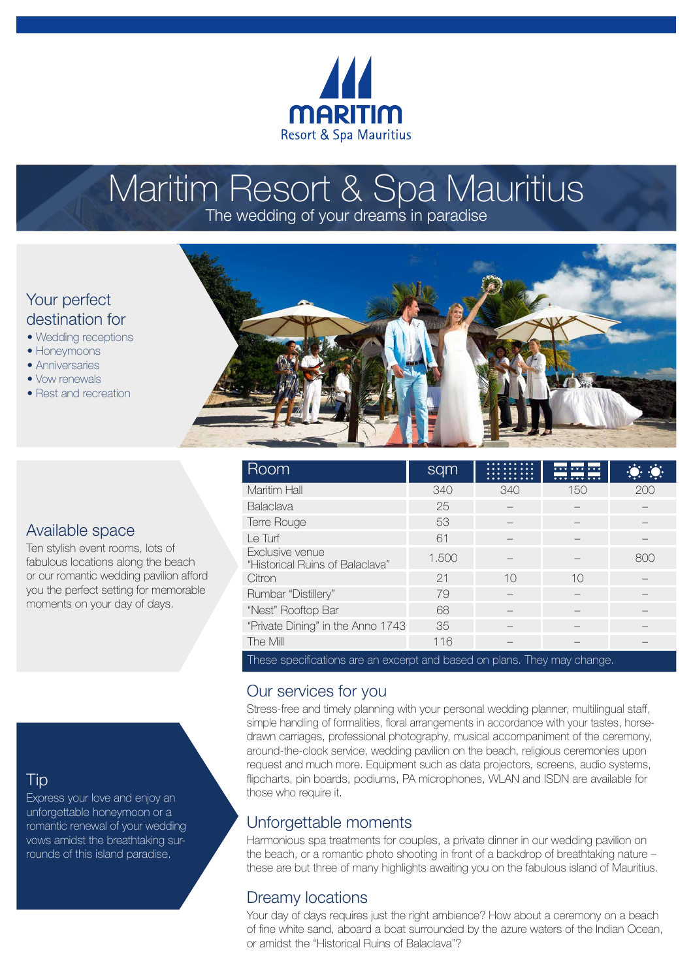

# Maritim Resort & Spa Mauritius

The wedding of your dreams in paradise

# Your perfect destination for

- Wedding receptions
- Honeymoons
- Anniversaries
- Vow renewals
- Rest and recreation



|  | Room                                                                     | sqm   |     | $\overline{\cdots}$<br><del> </del> |     |
|--|--------------------------------------------------------------------------|-------|-----|-------------------------------------|-----|
|  | Maritim Hall                                                             | 340   | 340 | 150                                 | 200 |
|  | Balaclava                                                                | 25    |     |                                     |     |
|  | Terre Rouge                                                              | 53    |     |                                     |     |
|  | Le Turf                                                                  | 61    |     |                                     |     |
|  | Exclusive venue<br>"Historical Ruins of Balaclava"                       | 1.500 |     |                                     | 800 |
|  | Citron                                                                   | 21    | 10  | 10                                  |     |
|  | Rumbar "Distillery"                                                      | 79    |     |                                     |     |
|  | "Nest" Rooftop Bar                                                       | 68    |     |                                     |     |
|  | "Private Dining" in the Anno 1743                                        | 35    |     |                                     |     |
|  | The Mill                                                                 | 116   |     |                                     |     |
|  | These specifications are an excerpt and based on plans. They may change. |       |     |                                     |     |

## Our services for you

Stress-free and timely planning with your personal wedding planner, multilingual staff, simple handling of formalities, floral arrangements in accordance with your tastes, horsedrawn carriages, professional photography, musical accompaniment of the ceremony, around-the-clock service, wedding pavilion on the beach, religious ceremonies upon request and much more. Equipment such as data projectors, screens, audio systems, flipcharts, pin boards, podiums, PA microphones, WLAN and ISDN are available for those who require it.

# Unforgettable moments

Harmonious spa treatments for couples, a private dinner in our wedding pavilion on the beach, or a romantic photo shooting in front of a backdrop of breathtaking nature – these are but three of many highlights awaiting you on the fabulous island of Mauritius.

# Dreamy locations

Your day of days requires just the right ambience? How about a ceremony on a beach of fine white sand, aboard a boat surrounded by the azure waters of the Indian Ocean, or amidst the "Historical Ruins of Balaclava"?

### Available space

Ten stylish event rooms, lots of fabulous locations along the beach or our romantic wedding pavilion afford you the perfect setting for memorable moments on your day of days.

# Tip

Express your love and enjoy an unforgettable honeymoon or a romantic renewal of your wedding vows amidst the breathtaking surrounds of this island paradise.